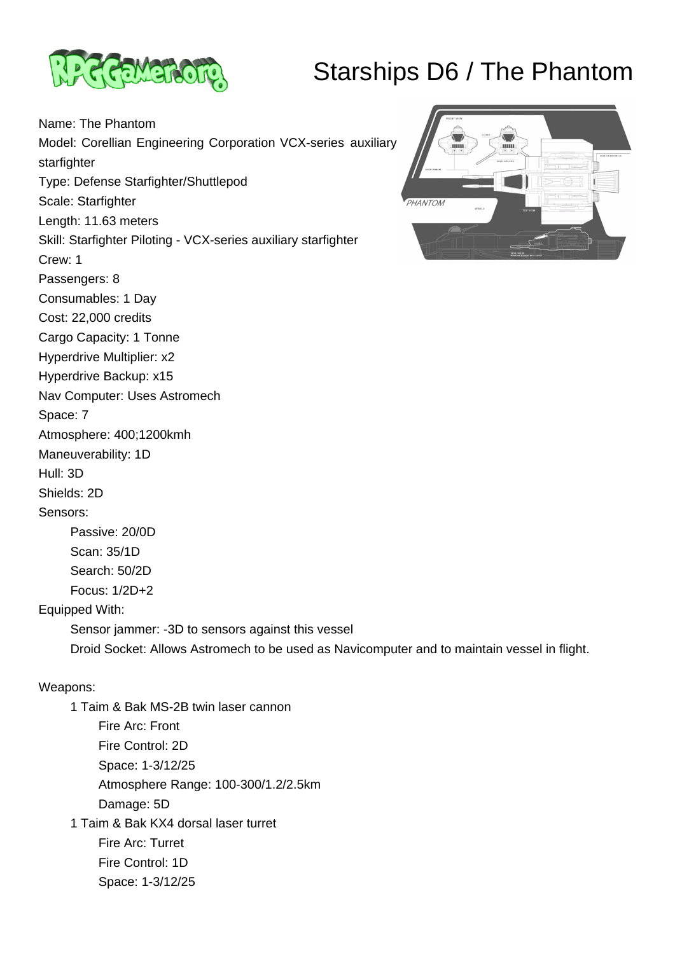## Starships D6 / The Phantom



Hyperdrive Multiplier: x2 Hyperdrive Backup: x15

Space: 7

Hull: 3D Shields: 2D Sensors:

Nav Computer: Uses Astromech

Atmosphere: 400;1200kmh

 Passive: 20/0D Scan: 35/1D Search: 50/2D Focus: 1/2D+2

Maneuverability: 1D

Name: The Phantom Model: Corellian Engineering Corporation VCX-series auxiliary starfighter Type: Defense Starfighter/Shuttlepod Scale: Starfighter Length: 11.63 meters Skill: Starfighter Piloting - VCX-series auxiliary starfighter Crew: 1 Passengers: 8 Consumables: 1 Day Cost: 22,000 credits Cargo Capacity: 1 Tonne



Weapons:

Equipped With:

 1 Taim & Bak MS-2B twin laser cannon Fire Arc: Front Fire Control: 2D Space: 1-3/12/25 Atmosphere Range: 100-300/1.2/2.5km Damage: 5D 1 Taim & Bak KX4 dorsal laser turret Fire Arc: Turret Fire Control: 1D Space: 1-3/12/25

Sensor jammer: -3D to sensors against this vessel

Droid Socket: Allows Astromech to be used as Navicomputer and to maintain vessel in flight.